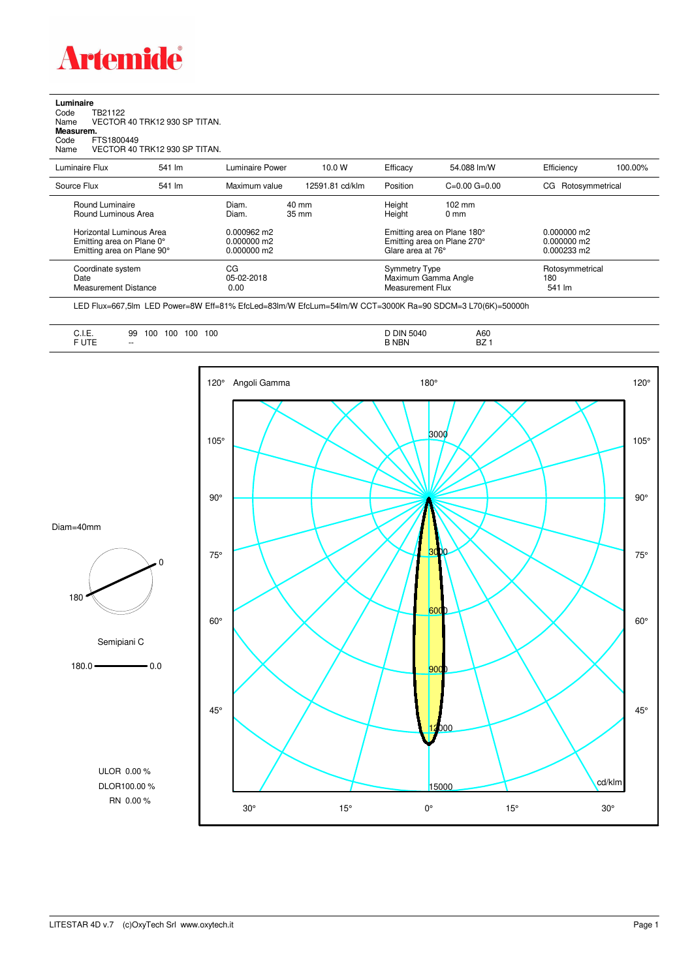

## **Luminaire**<br>Code T<br>Name \ Code TB21122 Name VECTOR 40 TRK12 930 SP TITAN. **Measurem.** Code FTS1800449 Name VECTOR 40 TRK12 930 SP TITAN.

| Luminaire Flux                                                                      | 541 lm | Luminaire Power                                        | 10.0 W          | Efficacy                                                                        | 54.088 lm/W                                                     | Efficiency                                             | 100.00%                          |  |
|-------------------------------------------------------------------------------------|--------|--------------------------------------------------------|-----------------|---------------------------------------------------------------------------------|-----------------------------------------------------------------|--------------------------------------------------------|----------------------------------|--|
| Source Flux                                                                         | 541 lm | Maximum value                                          | 12591.81 cd/klm | Position                                                                        | $C=0.00$ $G=0.00$                                               | Rotosymmetrical<br>CG                                  |                                  |  |
| Round Luminaire<br>Round Luminous Area                                              |        | Diam.<br>Diam.                                         | 40 mm<br>35 mm  |                                                                                 | $102 \text{ mm}$<br>$0 \text{ mm}$                              |                                                        |                                  |  |
| Horizontal Luminous Area<br>Emitting area on Plane 0°<br>Emitting area on Plane 90° |        | $0.000962 \text{ m}$<br>$0.000000$ m2<br>$0.000000$ m2 |                 | Emitting area on Plane 180°<br>Emitting area on Plane 270°<br>Glare area at 76° |                                                                 | $0.000000$ m2<br>$0.000000$ m2<br>$0.000233 \text{ m}$ |                                  |  |
| Coordinate system<br>Date<br>Measurement Distance                                   |        | CG<br>05-02-2018<br>0.00                               |                 |                                                                                 | <b>Symmetry Type</b><br>Maximum Gamma Angle<br>Measurement Flux |                                                        | Rotosymmetrical<br>180<br>541 lm |  |

LED Flux=667,5lm LED Power=8W Eff=81% EfcLed=83lm/W EfcLum=54lm/W CCT=3000K Ra=90 SDCM=3 L70(6K)=50000h